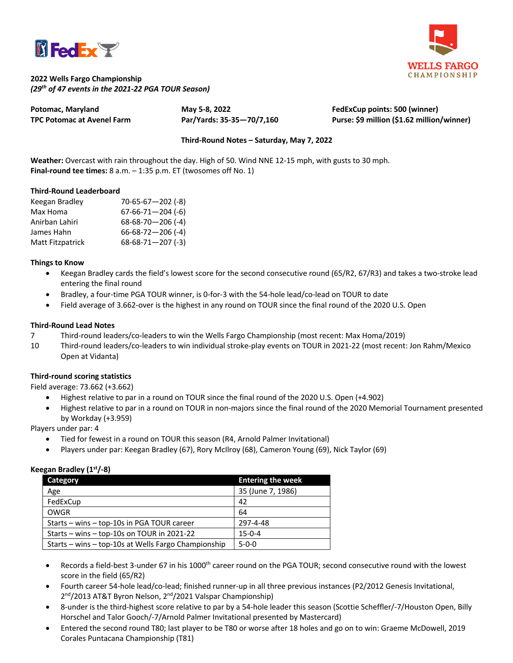



## **2022 Wells Fargo Championship** *(29th of 47 events in the 2021-22 PGA TOUR Season)*

**Potomac, Maryland May 5-8, 2022 FedExCup points: 500 (winner) TPC Potomac at Avenel Farm Par/Yards: 35-35—70/7,160 Purse: \$9 million (\$1.62 million/winner)**

# **Third-Round Notes – Saturday, May 7, 2022**

**Weather:** Overcast with rain throughout the day. High of 50. Wind NNE 12-15 mph, with gusts to 30 mph. **Final-round tee times:** 8 a.m. – 1:35 p.m. ET (twosomes off No. 1)

## **Third-Round Leaderboard**

| Keegan Bradley   | $70 - 65 - 67 - 202$ (-8) |
|------------------|---------------------------|
| Max Homa         | $67-66-71-204$ (-6)       |
| Anirban Lahiri   | $68-68-70-206$ (-4)       |
| James Hahn       | $66 - 68 - 72 - 206$ (-4) |
| Matt Fitzpatrick | $68-68-71-207$ (-3)       |

#### **Things to Know**

- Keegan Bradley cards the field's lowest score for the second consecutive round (65/R2, 67/R3) and takes a two-stroke lead entering the final round
- Bradley, a four-time PGA TOUR winner, is 0-for-3 with the 54-hole lead/co-lead on TOUR to date
- Field average of 3.662-over is the highest in any round on TOUR since the final round of the 2020 U.S. Open

#### **Third-Round Lead Notes**

- 7 Third-round leaders/co-leaders to win the Wells Fargo Championship (most recent: Max Homa/2019)
- 10 Third-round leaders/co-leaders to win individual stroke-play events on TOUR in 2021-22 (most recent: Jon Rahm/Mexico Open at Vidanta)

## **Third-round scoring statistics**

Field average: 73.662 (+3.662)

- Highest relative to par in a round on TOUR since the final round of the 2020 U.S. Open (+4.902)
- Highest relative to par in a round on TOUR in non-majors since the final round of the 2020 Memorial Tournament presented by Workday (+3.959)

Players under par: 4

- Tied for fewest in a round on TOUR this season (R4, Arnold Palmer Invitational)
- Players under par: Keegan Bradley (67), Rory McIlroy (68), Cameron Young (69), Nick Taylor (69)

## **Keegan Bradley (1st/-8)**

| Category                                            | <b>Entering the week</b> |
|-----------------------------------------------------|--------------------------|
| Age                                                 | 35 (June 7, 1986)        |
| FedExCup                                            | 42                       |
| OWGR                                                | 64                       |
| Starts – wins – top-10s in PGA TOUR career          | 297-4-48                 |
| Starts – wins – top-10s on TOUR in 2021-22          | $15 - 0 - 4$             |
| Starts - wins - top-10s at Wells Fargo Championship | $5 - 0 - 0$              |

- Records a field-best 3-under 67 in his 1000<sup>th</sup> career round on the PGA TOUR; second consecutive round with the lowest score in the field (65/R2)
- Fourth career 54-hole lead/co-lead; finished runner-up in all three previous instances (P2/2012 Genesis Invitational, 2<sup>nd</sup>/2013 AT&T Byron Nelson, 2<sup>nd</sup>/2021 Valspar Championship)
- 8-under is the third-highest score relative to par by a 54-hole leader this season (Scottie Scheffler/-7/Houston Open, Billy Horschel and Talor Gooch/-7/Arnold Palmer Invitational presented by Mastercard)
- Entered the second round T80; last player to be T80 or worse after 18 holes and go on to win: Graeme McDowell, 2019 Corales Puntacana Championship (T81)